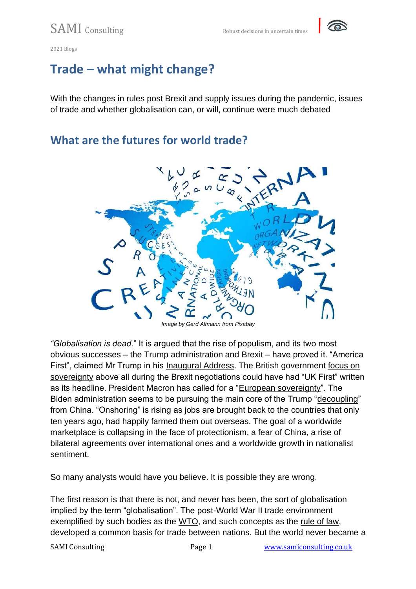

#### **Trade – what might change?**

With the changes in rules post Brexit and supply issues during the pandemic, issues of trade and whether globalisation can, or will, continue were much debated

#### **What are the futures for world trade?**



*"Globalisation is dead*." It is argued that the rise of populism, and its two most obvious successes – the Trump administration and Brexit – have proved it. "America First", claimed Mr Trump in his [Inaugural Address.](https://www.politico.com/story/2017/01/full-text-donald-trump-inauguration-speech-transcript-233907) The British government [focus on](https://www.cer.eu/insights/ten-reflections-sovereignty-first-brexit)  [sovereignty](https://www.cer.eu/insights/ten-reflections-sovereignty-first-brexit) above all during the Brexit negotiations could have had "UK First" written as its headline. President Macron has called for a ["European sovereignty"](https://www.theparliamentmagazine.eu/news/article/emmanuel-macron-to-eu-parliament-we-need-a-european-sovereignty). The Biden administration seems to be pursuing the main core of the Trump ["decoupling"](https://www.nytimes.com/2021/02/17/business/economy/biden-china.html) from China. "Onshoring" is rising as jobs are brought back to the countries that only ten years ago, had happily farmed them out overseas. The goal of a worldwide marketplace is collapsing in the face of protectionism, a fear of China, a rise of bilateral agreements over international ones and a worldwide growth in nationalist sentiment.

So many analysts would have you believe. It is possible they are wrong.

The first reason is that there is not, and never has been, the sort of globalisation implied by the term "globalisation". The post-World War II trade environment exemplified by such bodies as the [WTO,](https://www.wto.org/) and such concepts as the [rule of law,](https://lawreview.elsa.org/rule-of-law) developed a common basis for trade between nations. But the world never became a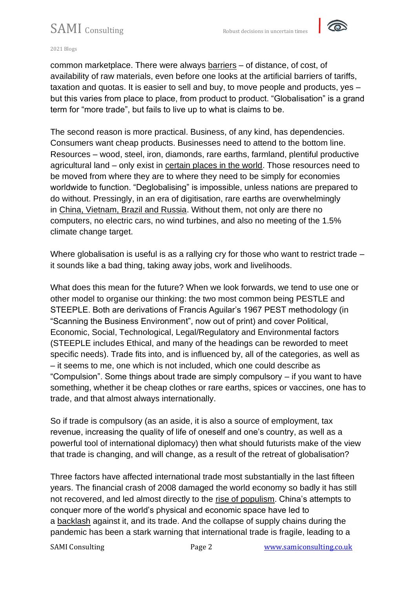### SAMI Consulting Robust decisions in uncertain times



#### 2021 Blogs

common marketplace. There were always [barriers](https://www.gov.uk/guidance/report-a-trade-barrier) – of distance, of cost, of availability of raw materials, even before one looks at the artificial barriers of tariffs, taxation and quotas. It is easier to sell and buy, to move people and products, yes – but this varies from place to place, from product to product. "Globalisation" is a grand term for "more trade", but fails to live up to what is claims to be.

The second reason is more practical. Business, of any kind, has dependencies. Consumers want cheap products. Businesses need to attend to the bottom line. Resources – wood, steel, iron, diamonds, rare earths, farmland, plentiful productive agricultural land – only exist in [certain places in the world.](https://www.mapsofworld.com/thematic-maps/natural-resources-maps/) Those resources need to be moved from where they are to where they need to be simply for economies worldwide to function. "Deglobalising" is impossible, unless nations are prepared to do without. Pressingly, in an era of digitisation, rare earths are overwhelmingly in [China, Vietnam, Brazil and Russia.](https://www.statista.com/statistics/277268/rare-earth-reserves-by-country/) Without them, not only are there no computers, no electric cars, no wind turbines, and also no meeting of the 1.5% climate change target.

Where globalisation is useful is as a rallying cry for those who want to restrict trade – it sounds like a bad thing, taking away jobs, work and livelihoods.

What does this mean for the future? When we look forwards, we tend to use one or other model to organise our thinking: the two most common being PESTLE and STEEPLE. Both are derivations of Francis Aguilar's 1967 PEST methodology (in "Scanning the Business Environment", now out of print) and cover Political, Economic, Social, Technological, Legal/Regulatory and Environmental factors (STEEPLE includes Ethical, and many of the headings can be reworded to meet specific needs). Trade fits into, and is influenced by, all of the categories, as well as – it seems to me, one which is not included, which one could describe as "Compulsion". Some things about trade are simply compulsory – if you want to have something, whether it be cheap clothes or rare earths, spices or vaccines, one has to trade, and that almost always internationally.

So if trade is compulsory (as an aside, it is also a source of employment, tax revenue, increasing the quality of life of oneself and one's country, as well as a powerful tool of international diplomacy) then what should futurists make of the view that trade is changing, and will change, as a result of the retreat of globalisation?

Three factors have affected international trade most substantially in the last fifteen years. The financial crash of 2008 damaged the world economy so badly it has still not recovered, and led almost directly to the [rise of populism.](https://www.ft.com/content/687c0184-aaa6-11e8-94bd-cba20d67390c) China's attempts to conquer more of the world's physical and economic space have led to a [backlash](https://www.ft.com/content/1cb3e33b-e2c2-4743-ae41-d3fffffa4259) against it, and its trade. And the collapse of supply chains during the pandemic has been a stark warning that international trade is fragile, leading to a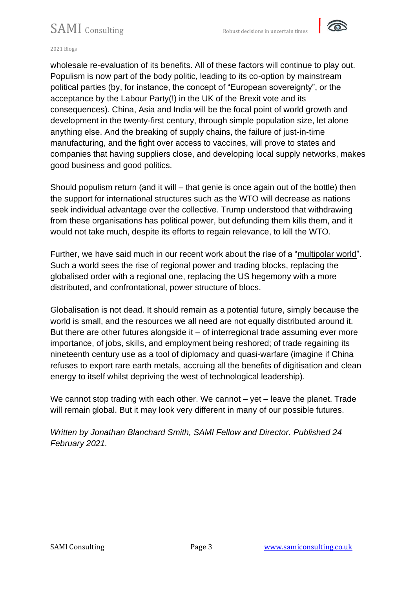### SAMI Consulting Robust decisions in uncertain times



#### 2021 Blogs

wholesale re-evaluation of its benefits. All of these factors will continue to play out. Populism is now part of the body politic, leading to its co-option by mainstream political parties (by, for instance, the concept of "European sovereignty", or the acceptance by the Labour Party(!) in the UK of the Brexit vote and its consequences). China, Asia and India will be the focal point of world growth and development in the twenty-first century, through simple population size, let alone anything else. And the breaking of supply chains, the failure of just-in-time manufacturing, and the fight over access to vaccines, will prove to states and companies that having suppliers close, and developing local supply networks, makes good business and good politics.

Should populism return (and it will – that genie is once again out of the bottle) then the support for international structures such as the WTO will decrease as nations seek individual advantage over the collective. Trump understood that withdrawing from these organisations has political power, but defunding them kills them, and it would not take much, despite its efforts to regain relevance, to kill the WTO.

Further, we have said much in our recent work about the rise of a ["multipolar world"](https://samiconsulting.wordpress.com/2019/01/16/megatrends-and-how-to-survive-them-multi-polar-worldview/). Such a world sees the rise of regional power and trading blocks, replacing the globalised order with a regional one, replacing the US hegemony with a more distributed, and confrontational, power structure of blocs.

Globalisation is not dead. It should remain as a potential future, simply because the world is small, and the resources we all need are not equally distributed around it. But there are other futures alongside it  $-$  of interregional trade assuming ever more importance, of jobs, skills, and employment being reshored; of trade regaining its nineteenth century use as a tool of diplomacy and quasi-warfare (imagine if China refuses to export rare earth metals, accruing all the benefits of digitisation and clean energy to itself whilst depriving the west of technological leadership).

We cannot stop trading with each other. We cannot – yet – leave the planet. Trade will remain global. But it may look very different in many of our possible futures.

*Written by Jonathan Blanchard Smith, SAMI Fellow and Director. Published 24 February 2021.*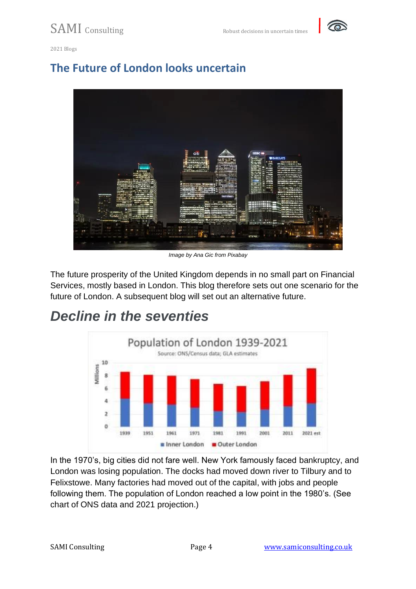

#### **The Future of London looks uncertain**



*Image by Ana Gic from Pixabay*

The future prosperity of the United Kingdom depends in no small part on Financial Services, mostly based in London. This blog therefore sets out one scenario for the future of London. A subsequent blog will set out an alternative future.

#### *Decline in the seventies*



In the 1970's, big cities did not fare well. New York famously faced bankruptcy, and London was losing population. The docks had moved down river to Tilbury and to Felixstowe. Many factories had moved out of the capital, with jobs and people following them. The population of London reached a low point in the 1980's. (See chart of ONS data and 2021 projection.)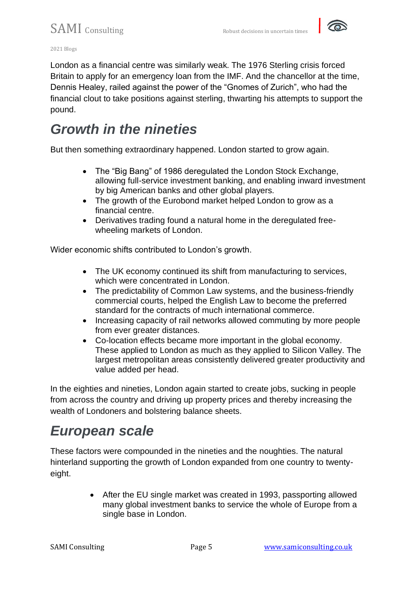

 $SAMI$  consulting  $Robust$  decisions in uncertain times

2021 Blogs

London as a financial centre was similarly weak. The 1976 Sterling crisis forced Britain to apply for an emergency loan from the IMF. And the chancellor at the time, Dennis Healey, railed against the power of the "Gnomes of Zurich", who had the financial clout to take positions against sterling, thwarting his attempts to support the pound.

### *Growth in the nineties*

But then something extraordinary happened. London started to grow again.

- The "Big Bang" of 1986 deregulated the London Stock Exchange, allowing full-service investment banking, and enabling inward investment by big American banks and other global players.
- The growth of the Eurobond market helped London to grow as a financial centre.
- Derivatives trading found a natural home in the deregulated freewheeling markets of London.

Wider economic shifts contributed to London's growth.

- The UK economy continued its shift from manufacturing to services, which were concentrated in London.
- The predictability of Common Law systems, and the business-friendly commercial courts, helped the English Law to become the preferred standard for the contracts of much international commerce.
- Increasing capacity of rail networks allowed commuting by more people from ever greater distances.
- Co-location effects became more important in the global economy. These applied to London as much as they applied to Silicon Valley. The largest metropolitan areas consistently delivered greater productivity and value added per head.

In the eighties and nineties, London again started to create jobs, sucking in people from across the country and driving up property prices and thereby increasing the wealth of Londoners and bolstering balance sheets.

### *European scale*

These factors were compounded in the nineties and the noughties. The natural hinterland supporting the growth of London expanded from one country to twentyeight.

> • After the EU single market was created in 1993, passporting allowed many global investment banks to service the whole of Europe from a single base in London.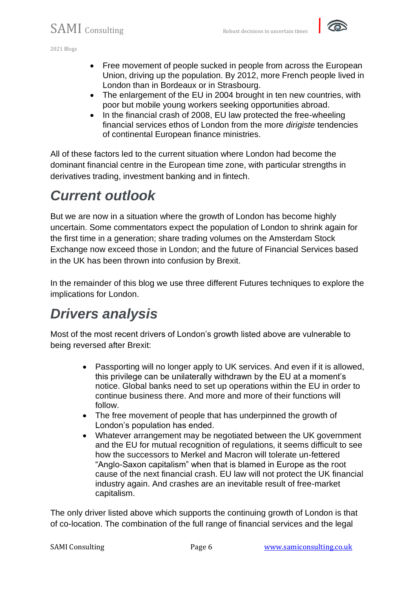- Free movement of people sucked in people from across the European Union, driving up the population. By 2012, more French people lived in London than in Bordeaux or in Strasbourg.
- The enlargement of the EU in 2004 brought in ten new countries, with poor but mobile young workers seeking opportunities abroad.
- In the financial crash of 2008, EU law protected the free-wheeling financial services ethos of London from the more *dirigiste* tendencies of continental European finance ministries.

All of these factors led to the current situation where London had become the dominant financial centre in the European time zone, with particular strengths in derivatives trading, investment banking and in fintech.

## *Current outlook*

But we are now in a situation where the growth of London has become highly uncertain. Some commentators expect the population of London to shrink again for the first time in a generation; share trading volumes on the Amsterdam Stock Exchange now exceed those in London; and the future of Financial Services based in the UK has been thrown into confusion by Brexit.

In the remainder of this blog we use three different Futures techniques to explore the implications for London.

## *Drivers analysis*

Most of the most recent drivers of London's growth listed above are vulnerable to being reversed after Brexit:

- Passporting will no longer apply to UK services. And even if it is allowed, this privilege can be unilaterally withdrawn by the EU at a moment's notice. Global banks need to set up operations within the EU in order to continue business there. And more and more of their functions will follow.
- The free movement of people that has underpinned the growth of London's population has ended.
- Whatever arrangement may be negotiated between the UK government and the EU for mutual recognition of regulations, it seems difficult to see how the successors to Merkel and Macron will tolerate un-fettered "Anglo-Saxon capitalism" when that is blamed in Europe as the root cause of the next financial crash. EU law will not protect the UK financial industry again. And crashes are an inevitable result of free-market capitalism.

The only driver listed above which supports the continuing growth of London is that of co-location. The combination of the full range of financial services and the legal

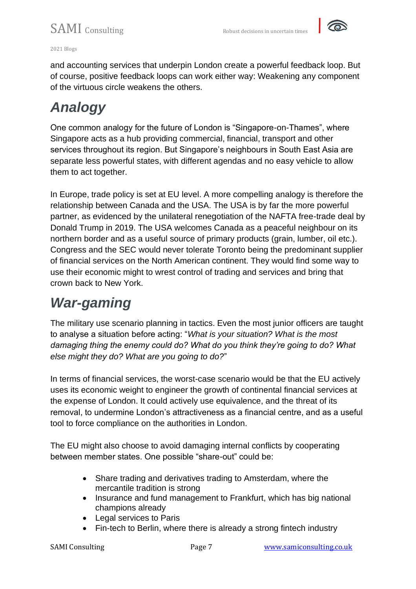

and accounting services that underpin London create a powerful feedback loop. But of course, positive feedback loops can work either way: Weakening any component of the virtuous circle weakens the others.

# *Analogy*

One common analogy for the future of London is "Singapore-on-Thames", where Singapore acts as a hub providing commercial, financial, transport and other services throughout its region. But Singapore's neighbours in South East Asia are separate less powerful states, with different agendas and no easy vehicle to allow them to act together.

In Europe, trade policy is set at EU level. A more compelling analogy is therefore the relationship between Canada and the USA. The USA is by far the more powerful partner, as evidenced by the unilateral renegotiation of the NAFTA free-trade deal by Donald Trump in 2019. The USA welcomes Canada as a peaceful neighbour on its northern border and as a useful source of primary products (grain, lumber, oil etc.). Congress and the SEC would never tolerate Toronto being the predominant supplier of financial services on the North American continent. They would find some way to use their economic might to wrest control of trading and services and bring that crown back to New York.

# *War-gaming*

The military use scenario planning in tactics. Even the most junior officers are taught to analyse a situation before acting: "*What is your situation? What is the most damaging thing the enemy could do? What do you think they're going to do? What else might they do? What are you going to do?*"

In terms of financial services, the worst-case scenario would be that the EU actively uses its economic weight to engineer the growth of continental financial services at the expense of London. It could actively use equivalence, and the threat of its removal, to undermine London's attractiveness as a financial centre, and as a useful tool to force compliance on the authorities in London.

The EU might also choose to avoid damaging internal conflicts by cooperating between member states. One possible "share-out" could be:

- Share trading and derivatives trading to Amsterdam, where the mercantile tradition is strong
- Insurance and fund management to Frankfurt, which has big national champions already
- Legal services to Paris
- Fin-tech to Berlin, where there is already a strong fintech industry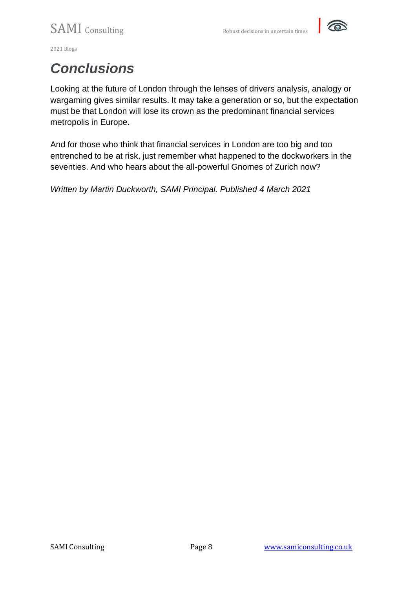

## *Conclusions*

Looking at the future of London through the lenses of drivers analysis, analogy or wargaming gives similar results. It may take a generation or so, but the expectation must be that London will lose its crown as the predominant financial services metropolis in Europe.

And for those who think that financial services in London are too big and too entrenched to be at risk, just remember what happened to the dockworkers in the seventies. And who hears about the all-powerful Gnomes of Zurich now?

*Written by Martin Duckworth, SAMI Principal. Published 4 March 2021*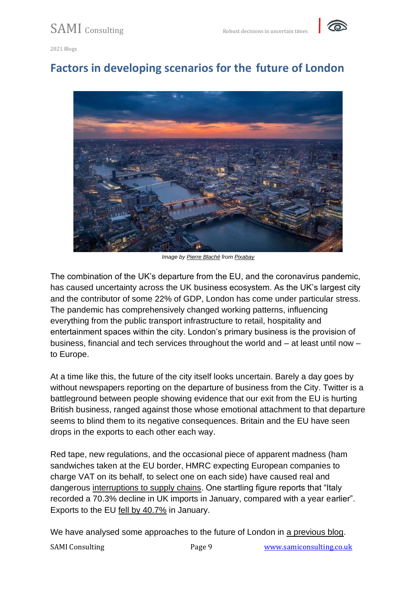

#### **Factors in developing scenarios for the future of London**



*Image by [Pierre Blaché](https://pixabay.com/users/pierre9x6-10217214/?utm_source=link-attribution&utm_medium=referral&utm_campaign=image&utm_content=5297395) from [Pixabay](https://pixabay.com/?utm_source=link-attribution&utm_medium=referral&utm_campaign=image&utm_content=5297395)*

The combination of the UK's departure from the EU, and the coronavirus pandemic, has caused uncertainty across the UK business ecosystem. As the UK's largest city and the contributor of some 22% of GDP, London has come under particular stress. The pandemic has comprehensively changed working patterns, influencing everything from the public transport infrastructure to retail, hospitality and entertainment spaces within the city. London's primary business is the provision of business, financial and tech services throughout the world and – at least until now – to Europe.

At a time like this, the future of the city itself looks uncertain. Barely a day goes by without newspapers reporting on the departure of business from the City. Twitter is a battleground between people showing evidence that our exit from the EU is hurting British business, ranged against those whose emotional attachment to that departure seems to blind them to its negative consequences. Britain and the EU have seen drops in the exports to each other each way.

Red tape, new regulations, and the occasional piece of apparent madness (ham sandwiches taken at the EU border, HMRC expecting European companies to charge VAT on its behalf, to select one on each side) have caused real and dangerous [interruptions to supply chains.](https://theloadstar.com/more-than-25-of-trucks-leaving-the-uk-for-eu-are-empty-as-exports-dive/) One startling figure reports that "Italy recorded a 70.3% decline in UK imports in January, compared with a year earlier". Exports to the EU [fell by 40.7%](https://www.theguardian.com/business/2021/mar/12/exports-to-eu-plunge-in-first-month-since-brexit-uk-economy) in January.

We have analysed some approaches to the future of London in [a previous blog.](https://samiconsulting.co.uk/the-future-of-london-looks-uncertain/)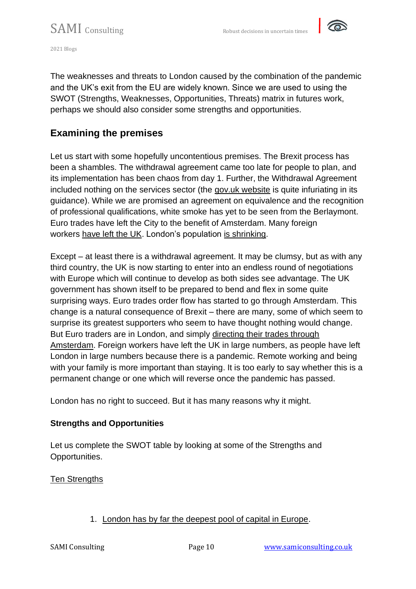

The weaknesses and threats to London caused by the combination of the pandemic and the UK's exit from the EU are widely known. Since we are used to using the SWOT (Strengths, Weaknesses, Opportunities, Threats) matrix in futures work, perhaps we should also consider some strengths and opportunities.

#### **Examining the premises**

Let us start with some hopefully uncontentious premises. The Brexit process has been a shambles. The withdrawal agreement came too late for people to plan, and its implementation has been chaos from day 1. Further, the Withdrawal Agreement included nothing on the services sector (the [gov.uk website](https://www.gov.uk/guidance/providing-services-to-any-country-in-the-eu-iceland-liechtenstein-norway-or-switzerland-after-eu-exit) is quite infuriating in its guidance). While we are promised an agreement on equivalence and the recognition of professional qualifications, white smoke has yet to be seen from the Berlaymont. Euro trades have left the City to the benefit of Amsterdam. Many foreign workers [have left the UK.](https://www.theguardian.com/uk-news/2021/jan/07/london-population-decline-first-time-since-1988-report-covid-home-working) London's population [is shrinking.](https://www.theguardian.com/uk-news/2021/jan/07/london-population-decline-first-time-since-1988-report-covid-home-working)

Except – at least there is a withdrawal agreement. It may be clumsy, but as with any third country, the UK is now starting to enter into an endless round of negotiations with Europe which will continue to develop as both sides see advantage. The UK government has shown itself to be prepared to bend and flex in some quite surprising ways. Euro trades order flow has started to go through Amsterdam. This change is a natural consequence of Brexit – there are many, some of which seem to surprise its greatest supporters who seem to have thought nothing would change. But Euro traders are in London, and simply [directing their trades through](https://www.standard.co.uk/business/london-v-amsterdam-is-the-city-losing-to-the-dutch-b919483.html)  [Amsterdam.](https://www.standard.co.uk/business/london-v-amsterdam-is-the-city-losing-to-the-dutch-b919483.html) Foreign workers have left the UK in large numbers, as people have left London in large numbers because there is a pandemic. Remote working and being with your family is more important than staying. It is too early to say whether this is a permanent change or one which will reverse once the pandemic has passed.

London has no right to succeed. But it has many reasons why it might.

#### **Strengths and Opportunities**

Let us complete the SWOT table by looking at some of the Strengths and Opportunities.

Ten Strengths

#### 1. [London has by far the deepest pool of capital in Europe.](https://www.londonstockexchange.com/raise-finance/equity/main-market?tab=insights-and-reports&lang=en)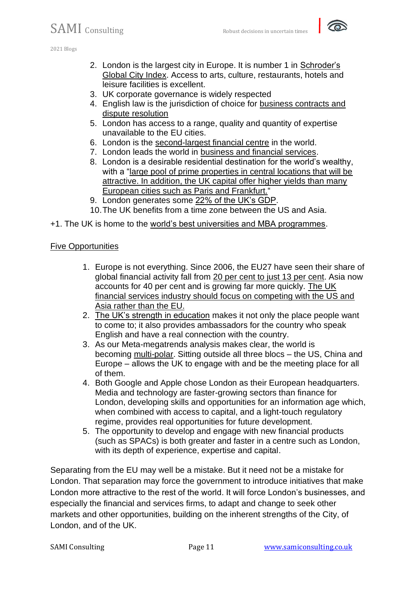

- 2. London is the largest city in Europe. It is number 1 in [Schroder's](https://www.schroders.com/en/uk/adviser/fund-centre/funds-in-focus/global-cities-index/)  [Global City Index.](https://www.schroders.com/en/uk/adviser/fund-centre/funds-in-focus/global-cities-index/) Access to arts, culture, restaurants, hotels and leisure facilities is excellent.
- 3. UK corporate governance is widely respected
- 4. English law is the jurisdiction of choice for [business contracts and](https://www.judiciary.uk/wp-content/uploads/2017/08/legaluk-strength-of-english-law-draft-4-FINAL.pdf)  [dispute resolution](https://www.judiciary.uk/wp-content/uploads/2017/08/legaluk-strength-of-english-law-draft-4-FINAL.pdf)
- 5. London has access to a range, quality and quantity of expertise unavailable to the EU cities.
- 6. London is the [second-largest financial centre](https://www.investopedia.com/articles/investing/030116/top-three-financial-centres-world.asp) in the world.
- 7. London leads the world in [business and financial services.](https://news.cityoflondon.gov.uk/london-leads-global-finance-rankings-in-new-benchmarking-research/)
- 8. London is a desirable residential destination for the world's wealthy, with a "large pool of prime properties in central locations that will be [attractive. In addition, the UK capital offer higher yields than many](https://www.realestate.bnpparibas.co.uk/2021/feb/experts-are-optimistic-about-long-term-outlook-real-estate) [European cities such as Paris and Frankfurt."](https://www.realestate.bnpparibas.co.uk/2021/feb/experts-are-optimistic-about-long-term-outlook-real-estate)
- 9. London generates some [22% of the UK's GDP.](https://www.london.gov.uk/sites/default/files/londons_economy_today_no210_270220.pdf)
- 10.The UK benefits from a time zone between the US and Asia.
- +1. The UK is home to the [world's best universities and MBA programmes.](https://news.cityoflondon.gov.uk/london-leads-global-finance-rankings-in-new-benchmarking-research/)

#### Five Opportunities

- 1. Europe is not everything. Since 2006, the EU27 have seen their share of global financial activity fall from [20 per cent to just 13 per cent.](https://www.ft.com/content/b609553d-ec54-4765-a46e-016707537aaf) Asia now accounts for 40 per cent and is growing far more quickly. [The UK](https://www.bbc.com/news/business-55939857)  [financial services industry should focus on competing with the US and](https://www.bbc.com/news/business-55939857)  [Asia rather than the EU.](https://www.bbc.com/news/business-55939857)
- 2. [The UK's strength in education](https://www.educations.com/top-10-lists/top-10-places-to-study-abroad-global-18096) makes it not only the place people want to come to; it also provides ambassadors for the country who speak English and have a real connection with the country.
- 3. As our Meta-megatrends analysis makes clear, the world is becoming [multi-polar.](https://samiconsulting.co.uk/wp-content/uploads/2020/06/Meta-Megatrends-April.pdf) Sitting outside all three blocs – the US, China and Europe – allows the UK to engage with and be the meeting place for all of them.
- 4. Both Google and Apple chose London as their European headquarters. Media and technology are faster-growing sectors than finance for London, developing skills and opportunities for an information age which, when combined with access to capital, and a light-touch regulatory regime, provides real opportunities for future development.
- 5. The opportunity to develop and engage with new financial products (such as SPACs) is both greater and faster in a centre such as London, with its depth of experience, expertise and capital.

Separating from the EU may well be a mistake. But it need not be a mistake for London. That separation may force the government to introduce initiatives that make London more attractive to the rest of the world. It will force London's businesses, and especially the financial and services firms, to adapt and change to seek other markets and other opportunities, building on the inherent strengths of the City, of London, and of the UK.